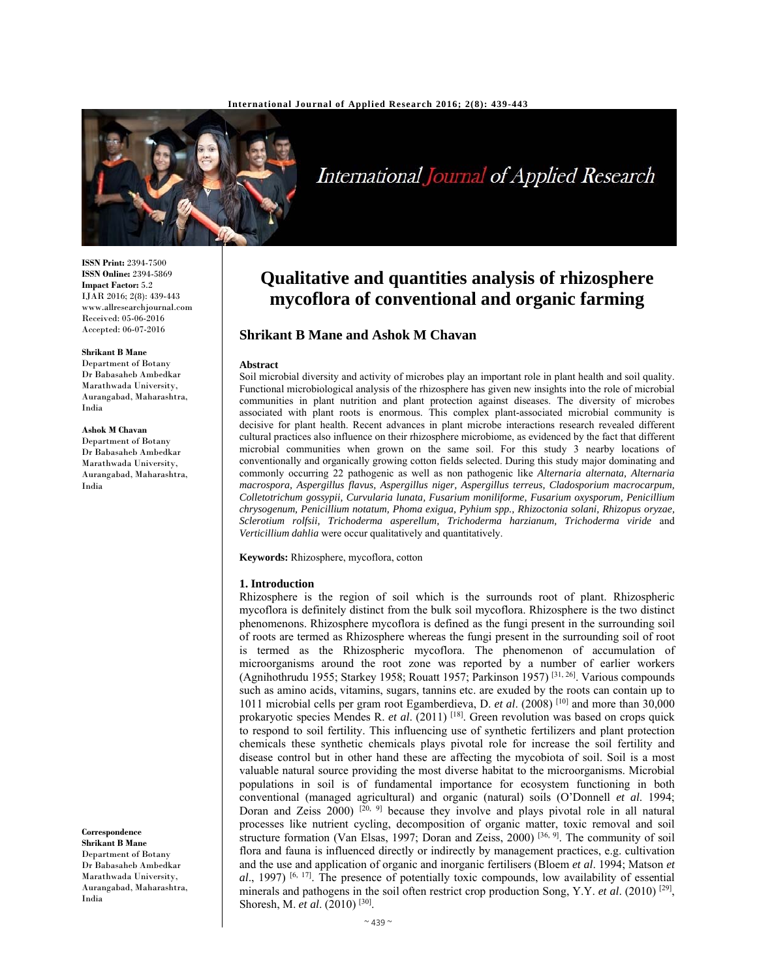

# International Journal of Applied Research

**ISSN Print:** 2394-7500 **ISSN Online:** 2394-5869 **Impact Factor:** 5.2 IJAR 2016; 2(8): 439-443 www.allresearchjournal.com Received: 05-06-2016 Accepted: 06-07-2016

# **Shrikant B Mane**

Department of Botany Dr Babasaheb Ambedkar Marathwada University, Aurangabad, Maharashtra, India

#### **Ashok M Chavan**

Department of Botany Dr Babasaheb Ambedkar Marathwada University, Aurangabad, Maharashtra, India

**Correspondence Shrikant B Mane**  Department of Botany Dr Babasaheb Ambedkar Marathwada University, Aurangabad, Maharashtra, India

# **Qualitative and quantities analysis of rhizosphere mycoflora of conventional and organic farming**

## **Shrikant B Mane and Ashok M Chavan**

#### **Abstract**

Soil microbial diversity and activity of microbes play an important role in plant health and soil quality. Functional microbiological analysis of the rhizosphere has given new insights into the role of microbial communities in plant nutrition and plant protection against diseases. The diversity of microbes associated with plant roots is enormous. This complex plant-associated microbial community is decisive for plant health. Recent advances in plant microbe interactions research revealed different cultural practices also influence on their rhizosphere microbiome, as evidenced by the fact that different microbial communities when grown on the same soil. For this study 3 nearby locations of conventionally and organically growing cotton fields selected. During this study major dominating and commonly occurring 22 pathogenic as well as non pathogenic like *Alternaria alternata, Alternaria macrospora, Aspergillus flavus, Aspergillus niger, Aspergillus terreus, Cladosporium macrocarpum, Colletotrichum gossypii, Curvularia lunata, Fusarium moniliforme, Fusarium oxysporum, Penicillium chrysogenum, Penicillium notatum, Phoma exigua, Pyhium spp., Rhizoctonia solani, Rhizopus oryzae, Sclerotium rolfsii, Trichoderma asperellum, Trichoderma harzianum, Trichoderma viride* and *Verticillium dahlia* were occur qualitatively and quantitatively.

**Keywords:** Rhizosphere, mycoflora, cotton

#### **1. Introduction**

Rhizosphere is the region of soil which is the surrounds root of plant. Rhizospheric mycoflora is definitely distinct from the bulk soil mycoflora. Rhizosphere is the two distinct phenomenons. Rhizosphere mycoflora is defined as the fungi present in the surrounding soil of roots are termed as Rhizosphere whereas the fungi present in the surrounding soil of root is termed as the Rhizospheric mycoflora. The phenomenon of accumulation of microorganisms around the root zone was reported by a number of earlier workers (Agnihothrudu 1955; Starkey 1958; Rouatt 1957; Parkinson 1957) [31, 26]. Various compounds such as amino acids, vitamins, sugars, tannins etc. are exuded by the roots can contain up to 1011 microbial cells per gram root Egamberdieva, D. *et al*. (2008) [10] and more than 30,000 prokaryotic species Mendes R. *et al.* (2011)<sup>[18]</sup>. Green revolution was based on crops quick to respond to soil fertility. This influencing use of synthetic fertilizers and plant protection chemicals these synthetic chemicals plays pivotal role for increase the soil fertility and disease control but in other hand these are affecting the mycobiota of soil. Soil is a most valuable natural source providing the most diverse habitat to the microorganisms. Microbial populations in soil is of fundamental importance for ecosystem functioning in both conventional (managed agricultural) and organic (natural) soils (O'Donnell *et al*. 1994; Doran and Zeiss  $2000$   $[20, 9]$  because they involve and plays pivotal role in all natural processes like nutrient cycling, decomposition of organic matter, toxic removal and soil structure formation (Van Elsas, 1997; Doran and Zeiss, 2000)<sup>[36, 9]</sup>. The community of soil flora and fauna is influenced directly or indirectly by management practices, e.g. cultivation and the use and application of organic and inorganic fertilisers (Bloem *et al*. 1994; Matson *et*   $al$ , 1997) <sup>[6, 17]</sup>. The presence of potentially toxic compounds, low availability of essential minerals and pathogens in the soil often restrict crop production Song, Y.Y. *et al*. (2010) [29], Shoresh, M. *et al*. (2010) [30].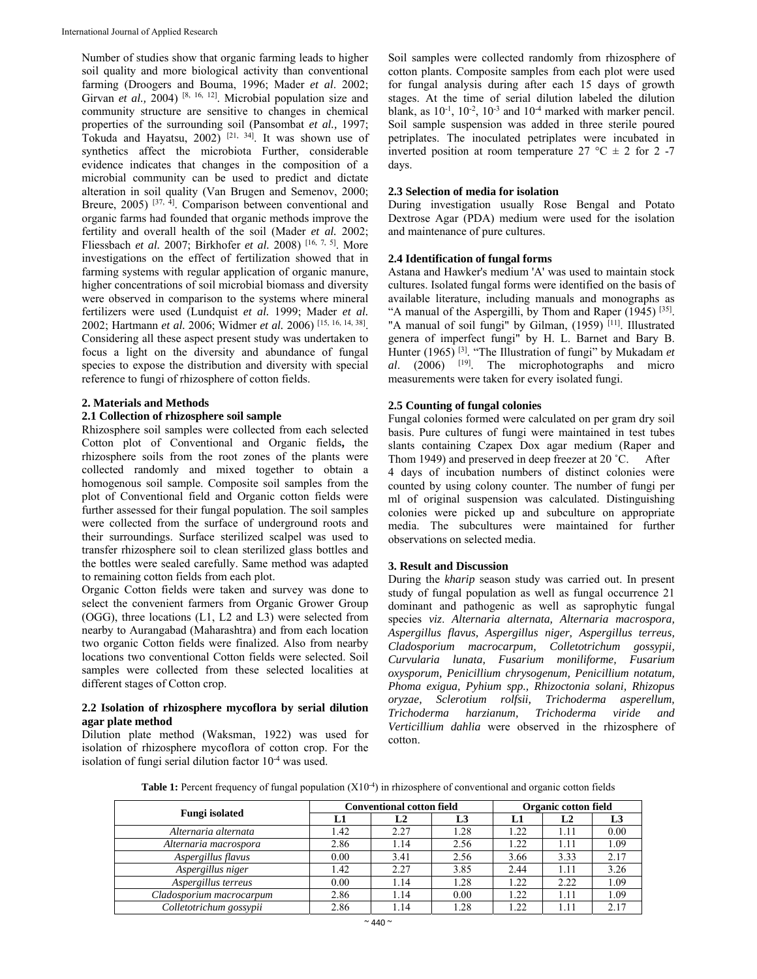Number of studies show that organic farming leads to higher soil quality and more biological activity than conventional farming (Droogers and Bouma, 1996; Mader *et al*. 2002; Girvan *et al.*, 2004)<sup>[8, 16, 12]. Microbial population size and</sup> community structure are sensitive to changes in chemical properties of the surrounding soil (Pansombat *et al.,* 1997; Tokuda and Hayatsu,  $2002$ <sup>[21, 34]</sup>. It was shown use of synthetics affect the microbiota Further, considerable evidence indicates that changes in the composition of a microbial community can be used to predict and dictate alteration in soil quality (Van Brugen and Semenov, 2000; Breure, 2005)  $[37, 4]$ . Comparison between conventional and organic farms had founded that organic methods improve the fertility and overall health of the soil (Mader *et al.* 2002; Fliessbach *et al.* 2007; Birkhofer *et al.* 2008) [16, 7, 5]. More investigations on the effect of fertilization showed that in farming systems with regular application of organic manure, higher concentrations of soil microbial biomass and diversity were observed in comparison to the systems where mineral fertilizers were used (Lundquist *et al.* 1999; Mader *et al.*  2002; Hartmann *et al.* 2006; Widmer *et al.* 2006) [15, 16, 14, 38]. Considering all these aspect present study was undertaken to focus a light on the diversity and abundance of fungal species to expose the distribution and diversity with special reference to fungi of rhizosphere of cotton fields.

#### **2. Materials and Methods**

#### **2.1 Collection of rhizosphere soil sample**

Rhizosphere soil samples were collected from each selected Cotton plot of Conventional and Organic fields**,** the rhizosphere soils from the root zones of the plants were collected randomly and mixed together to obtain a homogenous soil sample. Composite soil samples from the plot of Conventional field and Organic cotton fields were further assessed for their fungal population. The soil samples were collected from the surface of underground roots and their surroundings. Surface sterilized scalpel was used to transfer rhizosphere soil to clean sterilized glass bottles and the bottles were sealed carefully. Same method was adapted to remaining cotton fields from each plot.

Organic Cotton fields were taken and survey was done to select the convenient farmers from Organic Grower Group (OGG), three locations (L1, L2 and L3) were selected from nearby to Aurangabad (Maharashtra) and from each location two organic Cotton fields were finalized. Also from nearby locations two conventional Cotton fields were selected. Soil samples were collected from these selected localities at different stages of Cotton crop.

#### **2.2 Isolation of rhizosphere mycoflora by serial dilution agar plate method**

Dilution plate method (Waksman, 1922) was used for isolation of rhizosphere mycoflora of cotton crop. For the isolation of fungi serial dilution factor  $10^{-4}$  was used.

Soil samples were collected randomly from rhizosphere of cotton plants. Composite samples from each plot were used for fungal analysis during after each 15 days of growth stages. At the time of serial dilution labeled the dilution blank, as  $10^{-1}$ ,  $10^{-2}$ ,  $10^{-3}$  and  $10^{-4}$  marked with marker pencil. Soil sample suspension was added in three sterile poured petriplates. The inoculated petriplates were incubated in inverted position at room temperature  $27 \text{ °C} \pm 2$  for 2 -7 days.

#### **2.3 Selection of media for isolation**

During investigation usually Rose Bengal and Potato Dextrose Agar (PDA) medium were used for the isolation and maintenance of pure cultures.

#### **2.4 Identification of fungal forms**

Astana and Hawker's medium 'A' was used to maintain stock cultures. Isolated fungal forms were identified on the basis of available literature, including manuals and monographs as "A manual of the Aspergilli, by Thom and Raper (1945)<sup>[35]</sup>. "A manual of soil fungi" by Gilman,  $(1959)$ <sup>[11]</sup>. Illustrated genera of imperfect fungi" by H. L. Barnet and Bary B. Hunter (1965) [3]. "The Illustration of fungi" by Mukadam *et al*. (2006) [19]. The microphotographs and micro measurements were taken for every isolated fungi.

#### **2.5 Counting of fungal colonies**

Fungal colonies formed were calculated on per gram dry soil basis. Pure cultures of fungi were maintained in test tubes slants containing Czapex Dox agar medium (Raper and Thom 1949) and preserved in deep freezer at 20 °C. After 4 days of incubation numbers of distinct colonies were counted by using colony counter. The number of fungi per ml of original suspension was calculated. Distinguishing colonies were picked up and subculture on appropriate media. The subcultures were maintained for further observations on selected media.

#### **3. Result and Discussion**

During the *kharip* season study was carried out. In present study of fungal population as well as fungal occurrence 21 dominant and pathogenic as well as saprophytic fungal species *viz*. *Alternaria alternata, Alternaria macrospora, Aspergillus flavus, Aspergillus niger, Aspergillus terreus, Cladosporium macrocarpum, Colletotrichum gossypii, Curvularia lunata, Fusarium moniliforme, Fusarium oxysporum, Penicillium chrysogenum, Penicillium notatum, Phoma exigua, Pyhium spp., Rhizoctonia solani, Rhizopus oryzae, Sclerotium rolfsii, Trichoderma asperellum, Trichoderma harzianum, Trichoderma viride and Verticillium dahlia* were observed in the rhizosphere of cotton.

Table 1: Percent frequency of fungal population (X10<sup>-4</sup>) in rhizosphere of conventional and organic cotton fields

| <b>Fungi</b> isolated    |      | <b>Conventional cotton field</b> | <b>Organic cotton field</b> |      |      |      |
|--------------------------|------|----------------------------------|-----------------------------|------|------|------|
|                          | L1   | L2                               | L3                          | L1   | L2   | L3   |
| Alternaria alternata     | 1.42 | 2.27                             | 1.28                        | 1.22 | 1.11 | 0.00 |
| Alternaria macrospora    | 2.86 | 1.14                             | 2.56                        | 1.22 | 1.11 | 1.09 |
| Aspergillus flavus       | 0.00 | 3.41                             | 2.56                        | 3.66 | 3.33 | 2.17 |
| Aspergillus niger        | 1.42 | 2.27                             | 3.85                        | 2.44 | 1.11 | 3.26 |
| Aspergillus terreus      | 0.00 | 1.14                             | 1.28                        | 1.22 | 2.22 | 1.09 |
| Cladosporium macrocarpum | 2.86 | 1.14                             | 0.00                        | 1.22 | 1.11 | 1.09 |
| Colletotrichum gossypii  | 2.86 | 1.14                             | 1.28                        | 1.22 | 1.11 | 2.17 |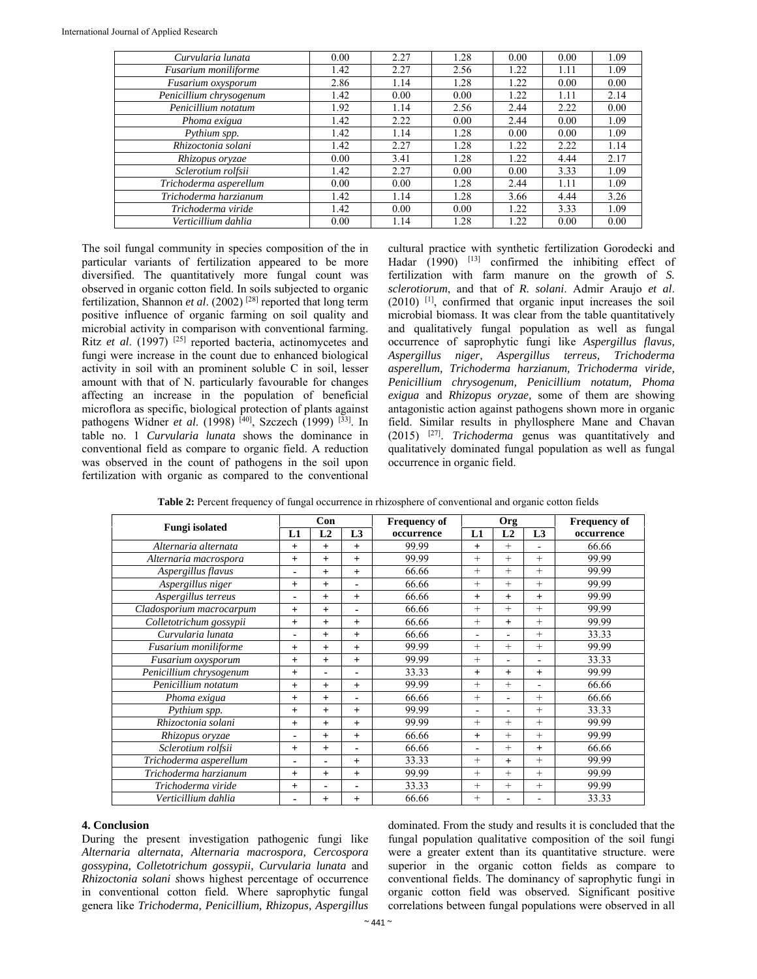| Curvularia lunata       | 0.00 | 2.27 | 1.28 | 0.00 | 0.00 | 1.09 |
|-------------------------|------|------|------|------|------|------|
| Fusarium moniliforme    | 1.42 | 2.27 | 2.56 | 1.22 | 1.11 | 1.09 |
| Fusarium oxysporum      | 2.86 | 1.14 | 1.28 | 1.22 | 0.00 | 0.00 |
| Penicillium chrysogenum | 1.42 | 0.00 | 0.00 | 1.22 | 1.11 | 2.14 |
| Penicillium notatum     | 1.92 | 1.14 | 2.56 | 2.44 | 2.22 | 0.00 |
| Phoma exigua            | 1.42 | 2.22 | 0.00 | 2.44 | 0.00 | 1.09 |
| Pythium spp.            | 1.42 | 1.14 | 1.28 | 0.00 | 0.00 | 1.09 |
| Rhizoctonia solani      | 1.42 | 2.27 | 1.28 | 1.22 | 2.22 | 1.14 |
| Rhizopus oryzae         | 0.00 | 3.41 | 1.28 | 1.22 | 4.44 | 2.17 |
| Sclerotium rolfsii      | 1.42 | 2.27 | 0.00 | 0.00 | 3.33 | 1.09 |
| Trichoderma asperellum  | 0.00 | 0.00 | 1.28 | 2.44 | 1.11 | 1.09 |
| Trichoderma harzianum   | 1.42 | 1.14 | 1.28 | 3.66 | 4.44 | 3.26 |
| Trichoderma viride      | 1.42 | 0.00 | 0.00 | 1.22 | 3.33 | 1.09 |
| Verticillium dahlia     | 0.00 | 1.14 | 1.28 | 1.22 | 0.00 | 0.00 |

The soil fungal community in species composition of the in particular variants of fertilization appeared to be more diversified. The quantitatively more fungal count was observed in organic cotton field. In soils subjected to organic fertilization, Shannon *et al*. (2002) [28] reported that long term positive influence of organic farming on soil quality and microbial activity in comparison with conventional farming. Ritz *et al.* (1997)<sup>[25]</sup> reported bacteria, actinomycetes and fungi were increase in the count due to enhanced biological activity in soil with an prominent soluble C in soil, lesser amount with that of N. particularly favourable for changes affecting an increase in the population of beneficial microflora as specific, biological protection of plants against pathogens Widner *et al.* (1998) <sup>[40]</sup>, Szczech (1999) <sup>[33]</sup>. In table no. 1 *Curvularia lunata* shows the dominance in conventional field as compare to organic field. A reduction was observed in the count of pathogens in the soil upon fertilization with organic as compared to the conventional cultural practice with synthetic fertilization Gorodecki and Hadar  $(1990)$  <sup>[13]</sup> confirmed the inhibiting effect of fertilization with farm manure on the growth of *S. sclerotiorum*, and that of *R. solani*. Admir Araujo *et al*. (2010) [1], confirmed that organic input increases the soil microbial biomass. It was clear from the table quantitatively and qualitatively fungal population as well as fungal occurrence of saprophytic fungi like *Aspergillus flavus, Aspergillus niger, Aspergillus terreus, Trichoderma asperellum, Trichoderma harzianum, Trichoderma viride, Penicillium chrysogenum, Penicillium notatum, Phoma exigua* and *Rhizopus oryzae,* some of them are showing antagonistic action against pathogens shown more in organic field. Similar results in phyllosphere Mane and Chavan (2015) [27]. *Trichoderma* genus was quantitatively and qualitatively dominated fungal population as well as fungal occurrence in organic field.

|  |  | Table 2: Percent frequency of fungal occurrence in rhizosphere of conventional and organic cotton fields |
|--|--|----------------------------------------------------------------------------------------------------------|
|--|--|----------------------------------------------------------------------------------------------------------|

|                          | Con            |        |                | <b>Frequency of</b> | Org      |                |                | <b>Frequency of</b> |  |
|--------------------------|----------------|--------|----------------|---------------------|----------|----------------|----------------|---------------------|--|
| <b>Fungi</b> isolated    | L1             | L2     | L3             | occurrence          | L1       | L <sub>2</sub> | L <sub>3</sub> | occurrence          |  |
| Alternaria alternata     | $+$            | $+$    | $+$            | 99.99               | $+$      | $+$            |                | 66.66               |  |
| Alternaria macrospora    | $+$            | $+$    | $+$            | 99.99               | $^{+}$   | $^{+}$         | $^{+}$         | 99.99               |  |
| Aspergillus flavus       | $\blacksquare$ | $^{+}$ | $+$            | 66.66               | $^{+}$   | $+$            | $^{+}$         | 99.99               |  |
| Aspergillus niger        | $+$            | $^{+}$ | $\blacksquare$ | 66.66               | $^{+}$   | $^{+}$         | $^{+}$         | 99.99               |  |
| Aspergillus terreus      | $\blacksquare$ | $^{+}$ | $+$            | 66.66               | $^{+}$   | $+$            | $+$            | 99.99               |  |
| Cladosporium macrocarpum | $+$            | $+$    | ٠              | 66.66               | $^{+}$   | $^{+}$         | $^{+}$         | 99.99               |  |
| Colletotrichum gossypii  | $+$            | $+$    | $+$            | 66.66               | $^{+}$   | $+$            | $^{+}$         | 99.99               |  |
| Curvularia lunata        | $\blacksquare$ | $^{+}$ | $+$            | 66.66               | ٠        | ٠              | $^{+}$         | 33.33               |  |
| Fusarium moniliforme     | $+$            | $^{+}$ | $+$            | 99.99               | $^{+}$   | $^{+}$         | $^{+}$         | 99.99               |  |
| Fusarium oxysporum       | $+$            | $+$    | $+$            | 99.99               | $^{+}$   |                |                | 33.33               |  |
| Penicillium chrysogenum  | $+$            | ۰      | ۰              | 33.33               | $+$      | $+$            | $\ddot{}$      | 99.99               |  |
| Penicillium notatum      | $+$            | $^{+}$ | $+$            | 99.99               | $^{+}$   | $+$            | ۰              | 66.66               |  |
| Phoma exigua             | $+$            | $^{+}$ | $\blacksquare$ | 66.66               | $^{+}$   | $\rightarrow$  | $^{+}$         | 66.66               |  |
| Pythium spp.             | $+$            | $+$    | $+$            | 99.99               | $\equiv$ |                | $^{+}$         | 33.33               |  |
| Rhizoctonia solani       | $+$            | $^{+}$ | $^{+}$         | 99.99               | $^{+}$   | $^{+}$         | $+$            | 99.99               |  |
| Rhizopus oryzae          | ٠              | $^{+}$ | $+$            | 66.66               | $^{+}$   | $^{+}$         | $^{+}$         | 99.99               |  |
| Sclerotium rolfsii       | $+$            | $^{+}$ | $\blacksquare$ | 66.66               | ٠        | $+$            | $^{+}$         | 66.66               |  |
| Trichoderma asperellum   | $\blacksquare$ | ۰      | $+$            | 33.33               | $^{+}$   | $+$            | $^{+}$         | 99.99               |  |
| Trichoderma harzianum    | $+$            | $+$    | $+$            | 99.99               | $^{+}$   | $^{+}$         | $^{+}$         | 99.99               |  |
| Trichoderma viride       | $+$            | ۰      | ۰              | 33.33               | $^{+}$   | $^{+}$         | $^{+}$         | 99.99               |  |
| Verticillium dahlia      | ٠              | $+$    | $+$            | 66.66               | $^{+}$   |                |                | 33.33               |  |

#### **4. Conclusion**

During the present investigation pathogenic fungi like *Alternaria alternata, Alternaria macrospora, Cercospora gossypina, Colletotrichum gossypii, Curvularia lunata* and *Rhizoctonia solani s*hows highest percentage of occurrence in conventional cotton field. Where saprophytic fungal genera like *Trichoderma, Penicillium, Rhizopus, Aspergillus* 

dominated. From the study and results it is concluded that the fungal population qualitative composition of the soil fungi were a greater extent than its quantitative structure. were superior in the organic cotton fields as compare to conventional fields. The dominancy of saprophytic fungi in organic cotton field was observed. Significant positive correlations between fungal populations were observed in all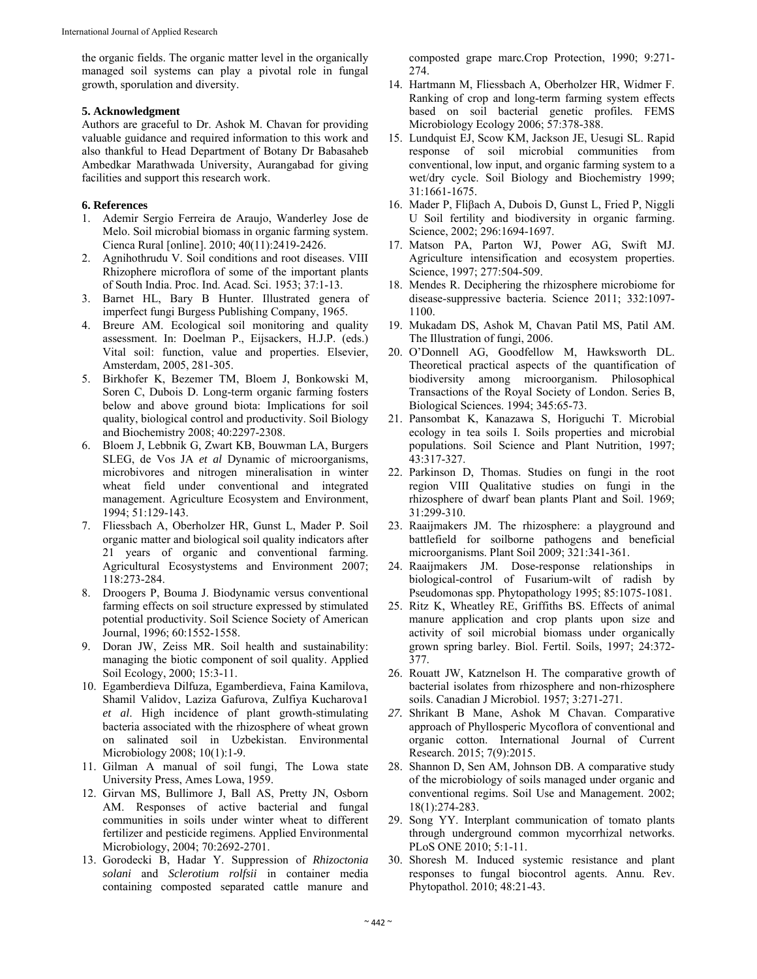the organic fields. The organic matter level in the organically managed soil systems can play a pivotal role in fungal growth, sporulation and diversity.

#### **5. Acknowledgment**

Authors are graceful to Dr. Ashok M. Chavan for providing valuable guidance and required information to this work and also thankful to Head Department of Botany Dr Babasaheb Ambedkar Marathwada University, Aurangabad for giving facilities and support this research work.

### **6. References**

- 1. Ademir Sergio Ferreira de Araujo, Wanderley Jose de Melo. Soil microbial biomass in organic farming system. Cienca Rural [online]. 2010; 40(11):2419-2426.
- 2. Agnihothrudu V. Soil conditions and root diseases. VIII Rhizophere microflora of some of the important plants of South India. Proc. Ind. Acad. Sci. 1953; 37:1-13.
- 3. Barnet HL, Bary B Hunter. Illustrated genera of imperfect fungi Burgess Publishing Company, 1965.
- 4. Breure AM. Ecological soil monitoring and quality assessment. In: Doelman P., Eijsackers, H.J.P. (eds.) Vital soil: function, value and properties. Elsevier, Amsterdam, 2005, 281-305.
- 5. Birkhofer K, Bezemer TM, Bloem J, Bonkowski M, Soren C, Dubois D. Long-term organic farming fosters below and above ground biota: Implications for soil quality, biological control and productivity. Soil Biology and Biochemistry 2008; 40:2297-2308.
- 6. Bloem J, Lebbnik G, Zwart KB, Bouwman LA, Burgers SLEG, de Vos JA *et al* Dynamic of microorganisms, microbivores and nitrogen mineralisation in winter wheat field under conventional and integrated management. Agriculture Ecosystem and Environment, 1994; 51:129-143.
- 7. Fliessbach A, Oberholzer HR, Gunst L, Mader P. Soil organic matter and biological soil quality indicators after 21 years of organic and conventional farming. Agricultural Ecosystystems and Environment 2007; 118:273-284.
- 8. Droogers P, Bouma J. Biodynamic versus conventional farming effects on soil structure expressed by stimulated potential productivity. Soil Science Society of American Journal, 1996; 60:1552-1558.
- 9. Doran JW, Zeiss MR. Soil health and sustainability: managing the biotic component of soil quality. Applied Soil Ecology, 2000; 15:3-11.
- 10. Egamberdieva Dilfuza, Egamberdieva, Faina Kamilova, Shamil Validov, Laziza Gafurova, Zulfiya Kucharova1 *et al*. High incidence of plant growth-stimulating bacteria associated with the rhizosphere of wheat grown on salinated soil in Uzbekistan. Environmental Microbiology 2008; 10(1):1-9.
- 11. Gilman A manual of soil fungi, The Lowa state University Press, Ames Lowa, 1959.
- 12. Girvan MS, Bullimore J, Ball AS, Pretty JN, Osborn AM. Responses of active bacterial and fungal communities in soils under winter wheat to different fertilizer and pesticide regimens. Applied Environmental Microbiology, 2004; 70:2692-2701.
- 13. Gorodecki B, Hadar Y. Suppression of *Rhizoctonia solani* and *Sclerotium rolfsii* in container media containing composted separated cattle manure and

composted grape marc*.*Crop Protection, 1990; 9:271- 274.

- 14. Hartmann M, Fliessbach A, Oberholzer HR, Widmer F. Ranking of crop and long-term farming system effects based on soil bacterial genetic profiles*.* FEMS Microbiology Ecology 2006; 57:378-388.
- 15. Lundquist EJ, Scow KM, Jackson JE, Uesugi SL. Rapid response of soil microbial communities from conventional, low input, and organic farming system to a wet/dry cycle. Soil Biology and Biochemistry 1999; 31:1661-1675.
- 16. Mader P, Fliβach A, Dubois D, Gunst L, Fried P, Niggli U Soil fertility and biodiversity in organic farming. Science, 2002; 296:1694-1697.
- 17. Matson PA, Parton WJ, Power AG, Swift MJ. Agriculture intensification and ecosystem properties. Science, 1997; 277:504-509.
- 18. Mendes R. Deciphering the rhizosphere microbiome for disease-suppressive bacteria. Science 2011; 332:1097- 1100.
- 19. Mukadam DS, Ashok M, Chavan Patil MS, Patil AM. The Illustration of fungi, 2006.
- 20. O'Donnell AG, Goodfellow M, Hawksworth DL. Theoretical practical aspects of the quantification of biodiversity among microorganism. Philosophical Transactions of the Royal Society of London. Series B, Biological Sciences. 1994; 345:65-73.
- 21. Pansombat K, Kanazawa S, Horiguchi T. Microbial ecology in tea soils I. Soils properties and microbial populations. Soil Science and Plant Nutrition, 1997; 43:317-327.
- 22. Parkinson D, Thomas. Studies on fungi in the root region VIII Qualitative studies on fungi in the rhizosphere of dwarf bean plants Plant and Soil. 1969; 31:299-310.
- 23. Raaijmakers JM. The rhizosphere: a playground and battlefield for soilborne pathogens and beneficial microorganisms. Plant Soil 2009; 321:341-361.
- 24. Raaijmakers JM. Dose-response relationships in biological-control of Fusarium-wilt of radish by Pseudomonas spp. Phytopathology 1995; 85:1075-1081.
- 25. Ritz K, Wheatley RE, Griffiths BS. Effects of animal manure application and crop plants upon size and activity of soil microbial biomass under organically grown spring barley. Biol. Fertil. Soils, 1997; 24:372- 377.
- 26. Rouatt JW, Katznelson H. The comparative growth of bacterial isolates from rhizosphere and non-rhizosphere soils. Canadian J Microbiol. 1957; 3:271-271.
- *27.* Shrikant B Mane, Ashok M Chavan. Comparative approach of Phyllosperic Mycoflora of conventional and organic cotton. International Journal of Current Research. 2015; 7(9):2015.
- 28. Shannon D, Sen AM, Johnson DB. A comparative study of the microbiology of soils managed under organic and conventional regims. Soil Use and Management. 2002; 18(1):274-283.
- 29. Song YY. Interplant communication of tomato plants through underground common mycorrhizal networks. PLoS ONE 2010; 5:1-11.
- 30. Shoresh M. Induced systemic resistance and plant responses to fungal biocontrol agents. Annu. Rev. Phytopathol. 2010; 48:21-43.